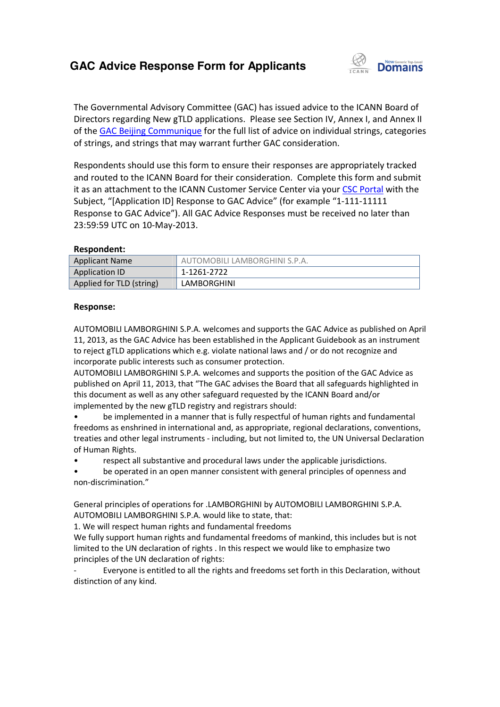# **GAC Advice Response Form for Applicants**



The Governmental Advisory Committee (GAC) has issued advice to the ICANN Board of Directors regarding New gTLD applications. Please see Section IV, Annex I, and Annex II of the **GAC Beijing Communique** for the full list of advice on individual strings, categories of strings, and strings that may warrant further GAC consideration.

Respondents should use this form to ensure their responses are appropriately tracked and routed to the ICANN Board for their consideration. Complete this form and submit it as an attachment to the ICANN Customer Service Center via your CSC Portal with the Subject, "[Application ID] Response to GAC Advice" (for example "1-111-11111 Response to GAC Advice"). All GAC Advice Responses must be received no later than 23:59:59 UTC on 10-May-2013. form to ensure their responses are approp<br>rd for their consideration. Complete this f<br>\NN Customer Service Center via your <u>CSC</u> see Section IV, Annex I, and Annex II<br>dvice on individual strings, categories<br>Consideration.<br>esponses are appropriately tracked<br>ion. Complete this form and submit<br>Center via your CSC Portal with the

### **Respondent:**

| 23:59:59 UTC on 10-May-2013. |                               |
|------------------------------|-------------------------------|
| Respondent:                  |                               |
| <b>Applicant Name</b>        | AUTOMOBILI LAMBORGHINI S.P.A. |
| <b>Application ID</b>        | 1-1261-2722                   |
| Applied for TLD (string)     | <b>LAMBORGHINI</b>            |

### **Response:**

AUTOMOBILI LAMBORGHINI S.P.A. welcomes and supports the GAC Advice as published on April 11, 2013, as the GAC Advice has been established in the Applicant Guidebook as an instrument to reject gTLD applications which e.g. violate national laws and / or do not recognize and incorporate public interests such as consumer protection. to reject gTLD applications which e.g. violate national laws and / or do not recognize and<br>incorporate public interests such as consumer protection.<br>AUTOMOBILI LAMBORGHINI S.P.A. welcomes and supports the position of the G

published on April 11, 2013, that "The GAC advises the Board that all safeguards highlighted in this document as well as any other safeguard requested by the ICANN Board and/or implemented by the new gTLD registry and registrars should: 2013, as the GAC Advice has been established in the Applicant Guidebook as an instrument<br>
eject gTLD applications which e.g. violate national laws and / or do not recognize and<br>
rporate public interests such as consumer pr

• be implemented in a manner that is fully respectful of human rights and fundamental freedoms as enshrined in international and, as appropriate, regional declarations, conventions, treaties and other legal instruments of Human Rights. nplemented in a manner that is fully respectful of human rights and fundament<br>enshrined in international and, as appropriate, regional declarations, conventio<br>other legal instruments - including, but not limited to, the UN

• respect all substantive and procedural laws under the applicable jurisdictions.

be operated in an open manner consistent with general principles of openness and non-discrimination."

General principles of operations for .LAMBORGHINI by AUTOMOBILI LAMBORGHINI S.P.A. AUTOMOBILI LAMBORGHINI S.P.A. would like to state, that:

1. We will respect human rights and fundamental freedoms

We fully support human rights and fundamental freedoms of mankind, this includes but is not limited to the UN declaration of rights . In this respect we would like to emphasize two principles of the UN declaration of rights: respect all substantive and procedural laws under the applicable jurisdictions.<br>be operated in an open manner consistent with general principles of openness and<br>crimination."<br>principles of operations for .LAMBORGHINI by AU

- Everyone is entitled to all t he rights distinction of any kind.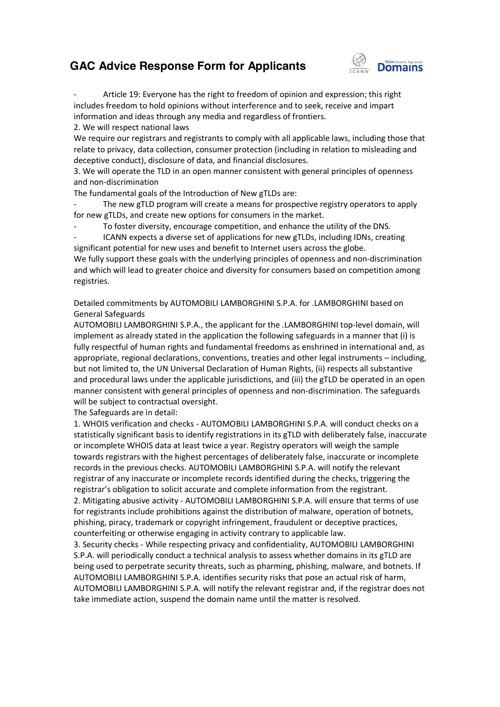## **GAC Advice Response Form for Applicants**



- Article 19: Everyone has the right to freedom of opinion and expression; this right includes freedom to hold opinions without interference and to seek, receive and impart information and ideas through any media and regardless of frontiers.

2. We will respect national laws

We require our registrars and registrants to comply with all applicable laws, including those that relate to privacy, data collection, consumer protection (including in relation to misleading and deceptive conduct), disclosure of data, and financial disclosures.

3. We will operate the TLD in an open manner consistent with general principles of openness and non-discrimination

The fundamental goals of the Introduction of New gTLDs are:

The new gTLD program will create a means for prospective registry operators to apply for new gTLDs, and create new options for consumers in the market.

- To foster diversity, encourage competition, and enhance the utility of the DNS.

- ICANN expects a diverse set of applications for new gTLDs, including IDNs, creating significant potential for new uses and benefit to Internet users across the globe. We fully support these goals with the underlying principles of openness and non-discrimination and which will lead to greater choice and diversity for consumers based on competition among registries. collection, consumer protection (including in relation to misleading and<br>cclosure of data, and financial disclosures.<br>TLD in an open manner consistent with general principles of openness<br>of the Introduction of New gTLDs ar

Detailed commitments by AUTOMOBILI LAMBORGHINI S.P.A. for .LAMBORGHINI based on General Safeguards

AUTOMOBILI LAMBORGHINI S.P.A., the applicant for the .LAMBORGHINI top top-level domain, will implement as already stated in the application the following safeguards in a manner that (i) is fully respectful of human rights and fundamental freedoms as enshrined in international and, as appropriate, regional declarations, conventions, treaties and other legal instruments – including, but not limited to, the UN Universal Declaration of Human Rights, (ii) respects all substantive appropriate, regional declarations, conventions, treaties and other legal instruments – including,<br>but not limited to, the UN Universal Declaration of Human Rights, (ii) respects all substantive<br>and procedural laws under t manner consistent with general principles of openness and non-discrimination. The safeguards will be subject to contractual oversight.

The Safeguards are in detail:

1. WHOIS verification and checks - AUTOMOBILI LAMBORGHINI S.P.A. will conduct checks on a statistically significant basis to identify registrations in its gTLD with deliberately false, inaccurate or incomplete WHOIS data at least twice a year. Registry operators will weigh the sample towards registrars with the highest percentages of deliberately false, inaccurate or incomplete records in the previous checks. AUTOMOBILI LAMBORGHINI S.P.A. will notify the relevant registrar of any inaccurate or incomplete records identified during the checks, triggering the registrar's obligation to solicit accurate and complete information from the registrant. records in the previous checks. AUTOMOBILI LAMBORGHINI S.P.A. will notify the relevant<br>registrar of any inaccurate or incomplete records identified during the checks, triggering the<br>registrar's obligation to solicit accura for registrants include prohibitions against the distribution of malware, operation of botnets, phishing, piracy, trademark or copyright infringement, fraudulent or deceptive practices, counterfeiting or otherwise engaging in activity contrary to applicable law. e applicable jurisdictions, and (iii) the gTLD be operated in an open<br>al principles of openness and non-discrimination. The safeguards<br>oversight.<br>cks - AUTOMOBILI LAMBORGHINI S.P.A. will conduct checks on a<br>identify regist

counterfeiting or otherwise engaging in activity contrary to applicable law.<br>3. Security checks - While respecting privacy and confidentiality, AUTOMOBILI LAMBORGHINI S.P.A. will periodically conduct a technical analysis to assess whether domains in its gTLD are S.P.A. will periodically conduct a technical analysis to assess whether domains in its gTLD are<br>being used to perpetrate security threats, such as pharming, phishing, malware, and botnets. If AUTOMOBILI LAMBORGHINI S.P.A. identifies security risks that pose an actual risk of harm, AUTOMOBILI LAMBORGHINI S.P.A. will notify the relevant registrar and, if the registrar does not take immediate action, suspend the domain name until the matter is resolved. r deceptive practices,<br>Jle law.<br>TOMOBILI LAMBORGHINI<br>Ir domains in its gTLD are<br>ng, malware, and botnets. If<br>e an actual risk of harm,<br>and, if the registrar does no